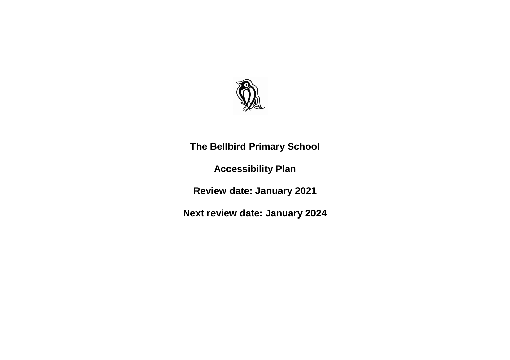

**The Bellbird Primary School**

**Accessibility Plan**

**Review date: January 2021**

**Next review date: January 2024**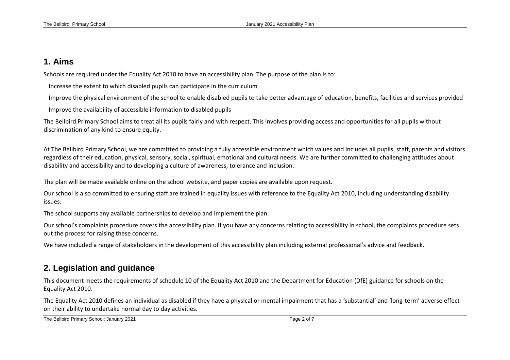#### **1. Aims**

Schools are required under the Equality Act 2010 to have an accessibility plan. The purpose of the plan is to:

Increase the extent to which disabled pupils can participate in the curriculum

Improve the physical environment of the school to enable disabled pupils to take better advantage of education, benefits, facilities and services provided

Improve the availability of accessible information to disabled pupils

The Bellbird Primary School aims to treat all its pupils fairly and with respect. This involves providing access and opportunities for all pupils without discrimination of any kind to ensure equity.

At The Bellbird Primary School, we are committed to providing a fully accessible environment which values and includes all pupils, staff, parents and visitors regardless of their education, physical, sensory, social, spiritual, emotional and cultural needs. We are further committed to challenging attitudes about disability and accessibility and to developing a culture of awareness, tolerance and inclusion.

The plan will be made available online on the school website, and paper copies are available upon request.

Our school is also committed to ensuring staff are trained in equality issues with reference to the Equality Act 2010, including understanding disability issues.

The school supports any available partnerships to develop and implement the plan.

Our school's complaints procedure covers the accessibility plan. If you have any concerns relating to accessibility in school, the complaints procedure sets out the process for raising these concerns.

We have included a range of stakeholders in the development of this accessibility plan including external professional's advice and feedback.

#### **2. Legislation and guidance**

This document meets the requirements of [schedule 10 of the Equality Act 2010](http://www.legislation.gov.uk/ukpga/2010/15/schedule/10) and the Department for Education (DfE[\) guidance for schools on the](https://www.gov.uk/government/publications/equality-act-2010-advice-for-schools)  [Equality Act 2010.](https://www.gov.uk/government/publications/equality-act-2010-advice-for-schools)

The Equality Act 2010 defines an individual as disabled if they have a physical or mental impairment that has a 'substantial' and 'long-term' adverse effect on their ability to undertake normal day to day activities.

The Bellbird Primary School: January 2021 **Page 2 of 7** Page 2 of 7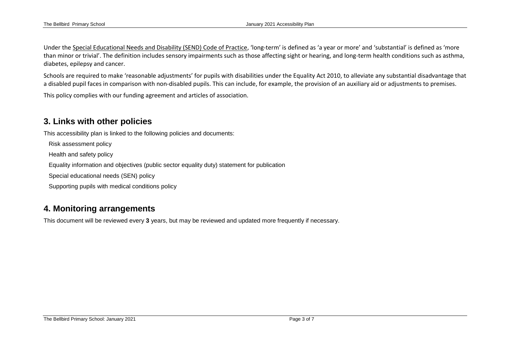Under the [Special Educational Needs and Disability \(SEND\) Code of Practice](https://www.gov.uk/government/publications/send-code-of-practice-0-to-25), 'long-term' is defined as 'a year or more' and 'substantial' is defined as 'more than minor or trivial'. The definition includes sensory impairments such as those affecting sight or hearing, and long-term health conditions such as asthma, diabetes, epilepsy and cancer.

Schools are required to make 'reasonable adjustments' for pupils with disabilities under the Equality Act 2010, to alleviate any substantial disadvantage that a disabled pupil faces in comparison with non-disabled pupils. This can include, for example, the provision of an auxiliary aid or adjustments to premises.

This policy complies with our funding agreement and articles of association.

### **3. Links with other policies**

This accessibility plan is linked to the following policies and documents:

Risk assessment policy

Health and safety policy

Equality information and objectives (public sector equality duty) statement for publication

Special educational needs (SEN) policy

Supporting pupils with medical conditions policy

## **4. Monitoring arrangements**

This document will be reviewed every **3** years, but may be reviewed and updated more frequently if necessary.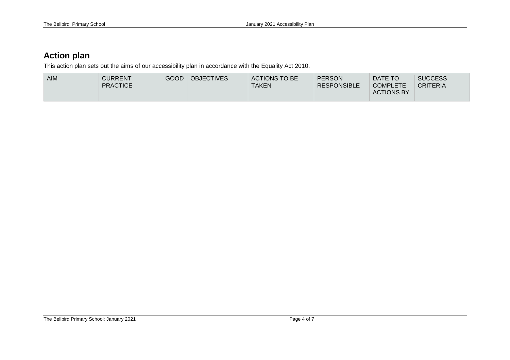# **Action plan**

This action plan sets out the aims of our accessibility plan in accordance with the Equality Act 2010.

| <b>AIM</b> | <b>CURRENT</b><br><b>PRACTICE</b> | GOOD | <b>OBJECTIVES</b> | ACTIONS TO BE<br><b>TAKEN</b> | <b>PERSON</b><br><b>RESPONSIBLE</b> | DATE TO<br><b>COMPLETE</b><br><b>ACTIONS BY</b> | <b>SUCCESS</b><br><b>CRITERIA</b> |
|------------|-----------------------------------|------|-------------------|-------------------------------|-------------------------------------|-------------------------------------------------|-----------------------------------|
|------------|-----------------------------------|------|-------------------|-------------------------------|-------------------------------------|-------------------------------------------------|-----------------------------------|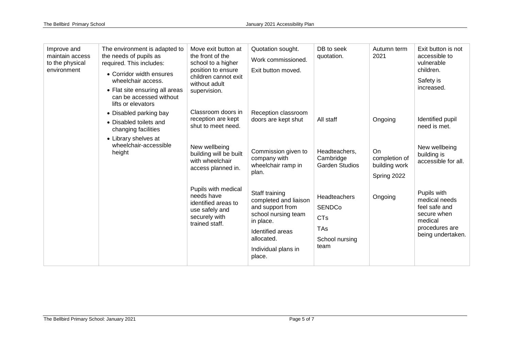| Improve and<br>maintain access<br>to the physical<br>environment | The environment is adapted to<br>the needs of pupils as<br>required. This includes:<br>• Corridor width ensures<br>wheelchair access.<br>• Flat site ensuring all areas<br>can be accessed without<br>lifts or elevators | Move exit button at<br>the front of the<br>school to a higher<br>position to ensure<br>children cannot exit<br>without adult<br>supervision. | Quotation sought.<br>Work commissioned.<br>Exit button moved.                                                                                                      | DB to seek<br>quotation.                                                            | Autumn term<br>2021                                 | Exit button is not<br>accessible to<br>vulnerable<br>children.<br>Safety is<br>increased.                      |
|------------------------------------------------------------------|--------------------------------------------------------------------------------------------------------------------------------------------------------------------------------------------------------------------------|----------------------------------------------------------------------------------------------------------------------------------------------|--------------------------------------------------------------------------------------------------------------------------------------------------------------------|-------------------------------------------------------------------------------------|-----------------------------------------------------|----------------------------------------------------------------------------------------------------------------|
|                                                                  | • Disabled parking bay<br>• Disabled toilets and<br>changing facilities                                                                                                                                                  | Classroom doors in<br>reception are kept<br>shut to meet need.                                                                               | Reception classroom<br>doors are kept shut                                                                                                                         | All staff                                                                           | Ongoing                                             | Identified pupil<br>need is met.                                                                               |
|                                                                  | • Library shelves at<br>wheelchair-accessible<br>height                                                                                                                                                                  | New wellbeing<br>building will be built<br>with wheelchair<br>access planned in.                                                             | Commission given to<br>company with<br>wheelchair ramp in<br>plan.                                                                                                 | Headteachers,<br>Cambridge<br><b>Garden Studios</b>                                 | On<br>completion of<br>building work<br>Spring 2022 | New wellbeing<br>building is<br>accessible for all.                                                            |
|                                                                  |                                                                                                                                                                                                                          | Pupils with medical<br>needs have<br>identified areas to<br>use safely and<br>securely with<br>trained staff.                                | Staff training<br>completed and liaison<br>and support from<br>school nursing team<br>in place.<br>Identified areas<br>allocated.<br>Individual plans in<br>place. | Headteachers<br><b>SENDCo</b><br><b>CTs</b><br><b>TAs</b><br>School nursing<br>team | Ongoing                                             | Pupils with<br>medical needs<br>feel safe and<br>secure when<br>medical<br>procedures are<br>being undertaken. |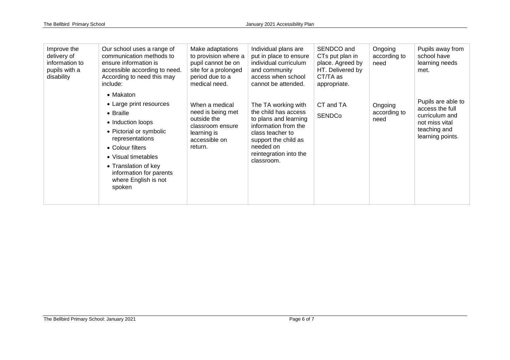| Improve the<br>delivery of<br>information to<br>pupils with a<br>disability | Our school uses a range of<br>communication methods to<br>ensure information is<br>accessible according to need.<br>According to need this may<br>include:                                                                                           | Make adaptations<br>to provision where a<br>pupil cannot be on<br>site for a prolonged<br>period due to a<br>medical need. | Individual plans are<br>put in place to ensure<br>individual curriculum<br>and community<br>access when school<br>cannot be attended.                                                         | SENDCO and<br>CTs put plan in<br>place. Agreed by<br>HT. Delivered by<br>CT/TA as<br>appropriate. | Ongoing<br>according to<br>need | Pupils away from<br>school have<br>learning needs<br>met.                                                     |
|-----------------------------------------------------------------------------|------------------------------------------------------------------------------------------------------------------------------------------------------------------------------------------------------------------------------------------------------|----------------------------------------------------------------------------------------------------------------------------|-----------------------------------------------------------------------------------------------------------------------------------------------------------------------------------------------|---------------------------------------------------------------------------------------------------|---------------------------------|---------------------------------------------------------------------------------------------------------------|
|                                                                             | • Makaton<br>• Large print resources<br>• Braille<br>• Induction loops<br>• Pictorial or symbolic<br>representations<br>• Colour filters<br>• Visual timetables<br>• Translation of key<br>information for parents<br>where English is not<br>spoken | When a medical<br>need is being met<br>outside the<br>classroom ensure<br>learning is<br>accessible on<br>return.          | The TA working with<br>the child has access<br>to plans and learning<br>information from the<br>class teacher to<br>support the child as<br>needed on<br>reintegration into the<br>classroom. | CT and TA<br><b>SENDCo</b>                                                                        | Ongoing<br>according to<br>need | Pupils are able to<br>access the full<br>curriculum and<br>not miss vital<br>teaching and<br>learning points. |